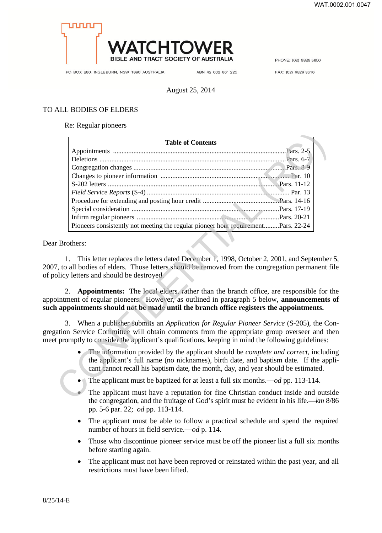

PHONE: (02) 9829 5600

PO BOX 280, INGLEBURN, NSW 1890 AUSTRALIA

ABN 42 002 861 225

FAX: (02) 9829 3616

## August 25, 2014

## TO ALL BODIES OF ELDERS

Re: Regular pioneers

| <b>Table of Contents</b>                                                                                                                                                                                                                                                                                                                                                                                                       |  |
|--------------------------------------------------------------------------------------------------------------------------------------------------------------------------------------------------------------------------------------------------------------------------------------------------------------------------------------------------------------------------------------------------------------------------------|--|
|                                                                                                                                                                                                                                                                                                                                                                                                                                |  |
|                                                                                                                                                                                                                                                                                                                                                                                                                                |  |
|                                                                                                                                                                                                                                                                                                                                                                                                                                |  |
|                                                                                                                                                                                                                                                                                                                                                                                                                                |  |
|                                                                                                                                                                                                                                                                                                                                                                                                                                |  |
|                                                                                                                                                                                                                                                                                                                                                                                                                                |  |
|                                                                                                                                                                                                                                                                                                                                                                                                                                |  |
|                                                                                                                                                                                                                                                                                                                                                                                                                                |  |
|                                                                                                                                                                                                                                                                                                                                                                                                                                |  |
| Pioneers consistently not meeting the regular pioneer hour requirementPars. 22-24                                                                                                                                                                                                                                                                                                                                              |  |
| This letter replaces the letters dated December 1, 1998, October 2, 2001, and September<br>1.<br>7, to all bodies of elders. Those letters should be removed from the congregation permanent f<br>olicy letters and should be destroyed.<br>Appointments: The local elders, rather than the branch office, are responsible for<br>2.<br>bintment of regular pioneers. However, as outlined in paragraph 5 below, announcements |  |
| appointments should not be made until the branch office registers the appointments.                                                                                                                                                                                                                                                                                                                                            |  |
| 3. When a publisher submits an <i>Application for Regular Pioneer Service</i> (S-205), the Co<br>ation Service Committee will obtain comments from the appropriate group overseer and the<br>t promptly to consider the applicant's qualifications, keeping in mind the following guidelines:                                                                                                                                  |  |
| The information provided by the applicant should be <i>complete and correct</i> , including<br>the applicant's full name (no nicknames), birth date, and baptism date. If the app<br>cant cannot recall his baptism date, the month, day, and year should be estimated.                                                                                                                                                        |  |
| The applicant must be baptized for at least a full six months.—od pp. 113-114.                                                                                                                                                                                                                                                                                                                                                 |  |
| The applicant must have a reputation for fine Christian conduct inside and outs<br>the congregation and the fruitege of $God$ s epirit must be evident in his life $\mu_{\mathcal{P}}$                                                                                                                                                                                                                                         |  |

## Dear Brothers:

1. This letter replaces the letters dated December 1, 1998, October 2, 2001, and September 5, 2007, to all bodies of elders. Those letters should be removed from the congregation permanent file of policy letters and should be destroyed.

2. **Appointments:** The local elders, rather than the branch office, are responsible for the appointment of regular pioneers. However, as outlined in paragraph 5 below, **announcements of such appointments should not be made until the branch office registers the appointments.**

3. When a publisher submits an *Application for Regular Pioneer Service* (S-205), the Congregation Service Committee will obtain comments from the appropriate group overseer and then meet promptly to consider the applicant's qualifications, keeping in mind the following guidelines:

- The information provided by the applicant should be *complete and correct,* including the applicant's full name (no nicknames), birth date, and baptism date. If the applicant cannot recall his baptism date, the month, day, and year should be estimated.
- The applicant must be baptized for at least a full six months.—*od* pp. 113-114.
- The applicant must have a reputation for fine Christian conduct inside and outside the congregation, and the fruitage of God's spirit must be evident in his life.—*km* 8/86 pp. 5-6 par. 22; *od* pp. 113-114.
- The applicant must be able to follow a practical schedule and spend the required number of hours in field service.—*od* p. 114.
- Those who discontinue pioneer service must be off the pioneer list a full six months before starting again.
- The applicant must not have been reproved or reinstated within the past year, and all restrictions must have been lifted.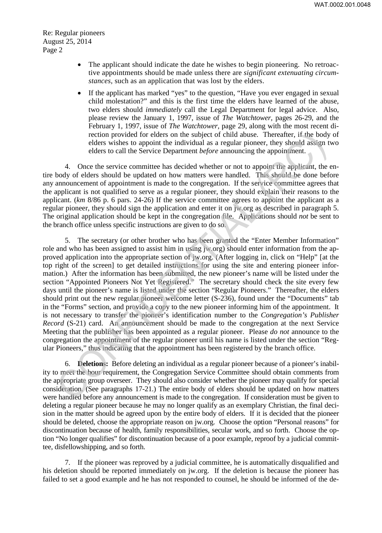- The applicant should indicate the date he wishes to begin pioneering. No retroactive appointments should be made unless there are *significant extenuating circumstances,* such as an application that was lost by the elders.
- If the applicant has marked "yes" to the question, "Have you ever engaged in sexual child molestation?" and this is the first time the elders have learned of the abuse, two elders should *immediately* call the Legal Department for legal advice. Also, please review the January 1, 1997, issue of *The Watchtower,* pages 26-29, and the February 1, 1997, issue of *The Watchtower,* page 29, along with the most recent direction provided for elders on the subject of child abuse. Thereafter, if the body of elders wishes to appoint the individual as a regular pioneer, they should assign two elders to call the Service Department *before* announcing the appointment.

4. Once the service committee has decided whether or not to appoint the applicant, the entire body of elders should be updated on how matters were handled. This should be done before any announcement of appointment is made to the congregation. If the service committee agrees that the applicant is not qualified to serve as a regular pioneer, they should explain their reasons to the applicant. (*km* 8/86 p. 6 pars. 24-26) If the service committee agrees to appoint the applicant as a regular pioneer, they should sign the application and enter it on jw.org as described in paragraph 5. The original application should be kept in the congregation file. Applications should *not* be sent to the branch office unless specific instructions are given to do so.

5. The secretary (or other brother who has been granted the "Enter Member Information" role and who has been assigned to assist him in using jw.org) should enter information from the approved application into the appropriate section of jw.org. (After logging in, click on "Help" [at the top right of the screen] to get detailed instructions for using the site and entering pioneer information.) After the information has been submitted, the new pioneer's name will be listed under the section "Appointed Pioneers Not Yet Registered." The secretary should check the site every few days until the pioneer's name is listed under the section "Regular Pioneers." Thereafter, the elders should print out the new regular pioneer welcome letter (S-236), found under the "Documents" tab in the "Forms" section, and provide a copy to the new pioneer informing him of the appointment. It is not necessary to transfer the pioneer's identification number to the *Congregation's Publisher Record* (S-21) card. An announcement should be made to the congregation at the next Service Meeting that the publisher has been appointed as a regular pioneer. Please *do not* announce to the congregation the appointment of the regular pioneer until his name is listed under the section "Regular Pioneers," thus indicating that the appointment has been registered by the branch office. rection provided for elects on the subject of child abuse. Thereafter, if the body<br>elders wishes to appoint the individual as a regular pioneer, they should assign t<br>elders to call the Service Department *before* announci

6. **Deletions:** Before deleting an individual as a regular pioneer because of a pioneer's inability to meet the hour requirement, the Congregation Service Committee should obtain comments from the appropriate group overseer. They should also consider whether the pioneer may qualify for special consideration. (See paragraphs 17-21.) The entire body of elders should be updated on how matters were handled before any announcement is made to the congregation. If consideration must be given to deleting a regular pioneer because he may no longer qualify as an exemplary Christian, the final decision in the matter should be agreed upon by the entire body of elders. If it is decided that the pioneer should be deleted, choose the appropriate reason on jw.org. Choose the option "Personal reasons" for discontinuation because of health, family responsibilities, secular work, and so forth. Choose the option "No longer qualifies" for discontinuation because of a poor example, reproof by a judicial committee, disfellowshipping, and so forth.

7. If the pioneer was reproved by a judicial committee, he is automatically disqualified and his deletion should be reported immediately on jw.org. If the deletion is because the pioneer has failed to set a good example and he has not responded to counsel, he should be informed of the de-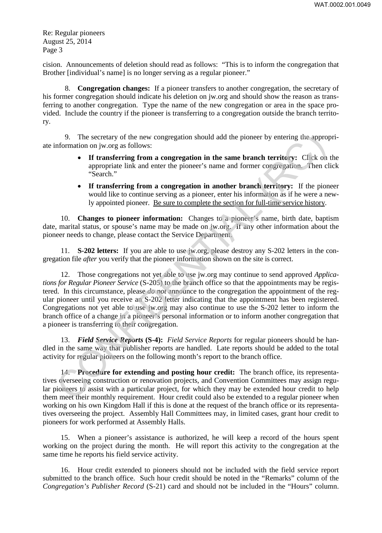cision. Announcements of deletion should read as follows: "This is to inform the congregation that Brother [individual's name] is no longer serving as a regular pioneer."

8. **Congregation changes:** If a pioneer transfers to another congregation, the secretary of his former congregation should indicate his deletion on jw.org and should show the reason as transferring to another congregation. Type the name of the new congregation or area in the space provided. Include the country if the pioneer is transferring to a congregation outside the branch territory.

9. The secretary of the new congregation should add the pioneer by entering the appropriate information on jw.org as follows:

- **If transferring from a congregation in the same branch territory:** Click on the appropriate link and enter the pioneer's name and former congregation. Then click "Search."
- **If transferring from a congregation in another branch territory:** If the pioneer would like to continue serving as a pioneer, enter his information as if he were a newly appointed pioneer. Be sure to complete the section for full-time service history.

10. **Changes to pioneer information:** Changes to a pioneer's name, birth date, baptism date, marital status, or spouse's name may be made on jw.org. If any other information about the pioneer needs to change, please contact the Service Department.

11. **S-202 letters:** If you are able to use jw.org, please destroy any S-202 letters in the congregation file *after* you verify that the pioneer information shown on the site is correct.

12. Those congregations not yet able to use jw.org may continue to send approved *Applications for Regular Pioneer Service* (S-205) to the branch office so that the appointments may be registered. In this circumstance, please *do not* announce to the congregation the appointment of the regular pioneer until you receive an S-202 letter indicating that the appointment has been registered. Congregations not yet able to use jw.org may also continue to use the S-202 letter to inform the branch office of a change in a pioneer's personal information or to inform another congregation that a pioneer is transferring to their congregation. CONFIDENTIAL (RC)

13. *Field Service Reports* **(S-4):** *Field Service Reports* for regular pioneers should be handled in the same way that publisher reports are handled. Late reports should be added to the total activity for regular pioneers on the following month's report to the branch office.

14. **Procedure for extending and posting hour credit:** The branch office, its representatives overseeing construction or renovation projects, and Convention Committees may assign regular pioneers to assist with a particular project, for which they may be extended hour credit to help them meet their monthly requirement. Hour credit could also be extended to a regular pioneer when working on his own Kingdom Hall if this is done at the request of the branch office or its representatives overseeing the project. Assembly Hall Committees may, in limited cases, grant hour credit to pioneers for work performed at Assembly Halls.

15. When a pioneer's assistance is authorized, he will keep a record of the hours spent working on the project during the month. He will report this activity to the congregation at the same time he reports his field service activity.

16. Hour credit extended to pioneers should not be included with the field service report submitted to the branch office. Such hour credit should be noted in the "Remarks" column of the *Congregation's Publisher Record* (S-21) card and should not be included in the "Hours" column.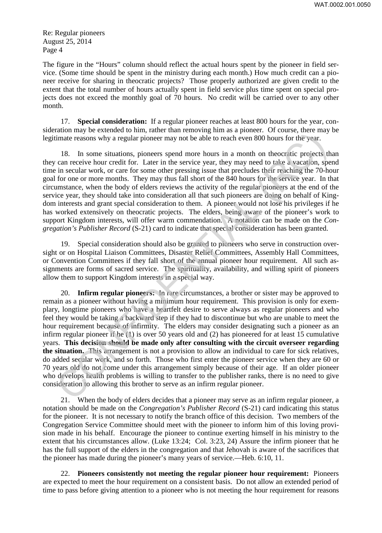The figure in the "Hours" column should reflect the actual hours spent by the pioneer in field service. (Some time should be spent in the ministry during each month.) How much credit can a pioneer receive for sharing in theocratic projects? Those properly authorized are given credit to the extent that the total number of hours actually spent in field service plus time spent on special projects does not exceed the monthly goal of 70 hours. No credit will be carried over to any other month.

17. **Special consideration:** If a regular pioneer reaches at least 800 hours for the year, consideration may be extended to him, rather than removing him as a pioneer. Of course, there may be legitimate reasons why a regular pioneer may not be able to reach even 800 hours for the year.

18. In some situations, pioneers spend more hours in a month on theocratic projects than they can receive hour credit for. Later in the service year, they may need to take a vacation, spend time in secular work, or care for some other pressing issue that precludes their reaching the 70-hour goal for one or more months. They may thus fall short of the 840 hours for the service year. In that circumstance, when the body of elders reviews the activity of the regular pioneers at the end of the service year, they should take into consideration all that such pioneers are doing on behalf of Kingdom interests and grant special consideration to them. A pioneer would not lose his privileges if he has worked extensively on theocratic projects. The elders, being aware of the pioneer's work to support Kingdom interests, will offer warm commendation. A notation can be made on the *Congregation's Publisher Record* (S-21) card to indicate that special consideration has been granted.

19. Special consideration should also be granted to pioneers who serve in construction oversight or on Hospital Liaison Committees, Disaster Relief Committees, Assembly Hall Committees, or Convention Committees if they fall short of the annual pioneer hour requirement. All such assignments are forms of sacred service. The spirituality, availability, and willing spirit of pioneers allow them to support Kingdom interests in a special way.

20. **Infirm regular pioneers:** In rare circumstances, a brother or sister may be approved to remain as a pioneer without having a minimum hour requirement. This provision is only for exemplary, longtime pioneers who have a heartfelt desire to serve always as regular pioneers and who feel they would be taking a backward step if they had to discontinue but who are unable to meet the hour requirement because of infirmity. The elders may consider designating such a pioneer as an infirm regular pioneer if he (1) is over 50 years old and (2) has pioneered for at least 15 cumulative years. **This decision should be made only after consulting with the circuit overseer regarding the situation.** This arrangement is not a provision to allow an individual to care for sick relatives, do added secular work, and so forth. Those who first enter the pioneer service when they are 60 or 70 years old do not come under this arrangement simply because of their age. If an older pioneer who develops health problems is willing to transfer to the publisher ranks, there is no need to give consideration to allowing this brother to serve as an infirm regular pioneer. and may be extended to man, and e may reconverted to the results. To consider the my and the products in the series that the series that the series that the series that the series that the series of contents in a month on

21. When the body of elders decides that a pioneer may serve as an infirm regular pioneer, a notation should be made on the *Congregation's Publisher Record* (S-21) card indicating this status for the pioneer. It is not necessary to notify the branch office of this decision. Two members of the Congregation Service Committee should meet with the pioneer to inform him of this loving provision made in his behalf. Encourage the pioneer to continue exerting himself in his ministry to the extent that his circumstances allow. (Luke 13:24; Col. 3:23, 24) Assure the infirm pioneer that he has the full support of the elders in the congregation and that Jehovah is aware of the sacrifices that the pioneer has made during the pioneer's many years of service.—Heb. 6:10, 11.

22. **Pioneers consistently not meeting the regular pioneer hour requirement:** Pioneers are expected to meet the hour requirement on a consistent basis. Do not allow an extended period of time to pass before giving attention to a pioneer who is not meeting the hour requirement for reasons